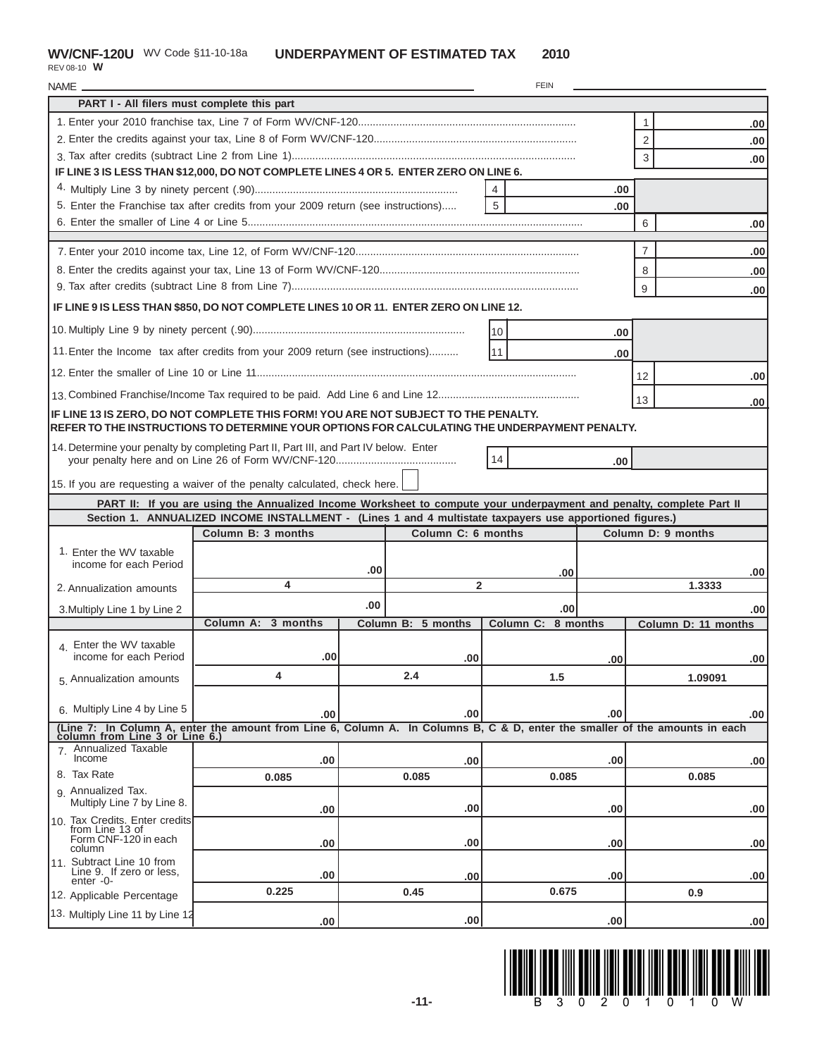|                    | <b>WV/CNF-120U</b> WV Code §11-10-18a |
|--------------------|---------------------------------------|
| REV 08-10 <b>W</b> |                                       |

## **WINDERPAYMENT OF ESTIMATED TAX 2010**

NAME FEIN  **PART I - All filers must complete this part** Enter the credits against your tax, Line 8 of Form WV/CNF-120..................................................................... 2. Tax after credits (subtract Line 2 from Line 1)................................................................................................ 3. Multiply Line 3 by ninety percent (.90)..................................................................... 4. 1 2 3 4 5 **.00 .00 .00 .00 .00** 6 **.00** Enter your 2010 franchise tax, Line 7 of Form WV/CNF-120.......................................................................... 1. 5. Enter the Franchise tax after credits from your 2009 return (see instructions)..... Enter the smaller of Line 4 or Line 5.................................................................................................................. 6. **IF LINE 3 IS LESS THAN \$12,000, DO NOT COMPLETE LINES 4 OR 5. ENTER ZERO ON LINE 6.** Combined Franchise/Income Tax required to be paid. Add Line 6 and Line 12................................................ 13. **.00 .00 .00** Enter your 2010 income tax, Line 12, of Form WV/CNF-120............................................................................ 7 **.00** 7. Tax after credits (subtract Line 8 from Line 7)................................................................................................. 9. Enter the credits against your tax, Line 13 of Form WV/CNF-120.................................................................... 8 **.00** 8. 9 **IF LINE 9 IS LESS THAN \$850, DO NOT COMPLETE LINES 10 OR 11. ENTER ZERO ON LINE 12.** Multiply Line 9 by ninety percent (.90)........................................................................ 10 10. 11. Enter the Income tax after credits from your 2009 return (see instructions).......... |11 Enter the smaller of Line 10 or Line 12 11............................................................................................................. **.00** 12. 13 14. Determine your penalty by completing Part II, Part III, and Part IV below. Enter your penalty here and on Line 26 of Form WV/CNF-120...................... **IF LINE 13 IS ZERO, DO NOT COMPLETE THIS FORM! YOU ARE NOT SUBJECT TO THE PENALTY. REFER TO THE INSTRUCTIONS TO DETERMINE YOUR OPTIONS FOR CALCULATING THE UNDERPAYMENT PENALTY.** 14 15. If you are requesting a waiver of the penalty calculated, check here. **.00 .00 PART II: If you are using the Annualized Income Worksheet to compute your underpayment and penalty, complete Part II** 2. Annualization amounts 3. Multiply Line 1 by Line 2 **.00 .00 .00 4 2 .00 .00 .00 .00 .00 .00 .00 .00 3 months Column A:** Enter the WV taxable 1. income for each Period Enter the WV taxable 4. income for each Period Annualization amounts 5. **1.09091** 6. Multiply Line 4 by Line 5 **4 2.4 1.5 .00 .00 .00 Column B: 5 months Column C: 8 months Column D: 11 months 1.3333** Annualized Taxable Income **.00 .00 .00 .00 .00 .00 .00 .00 .00 .00 .00 .00 .00 .00** 8. Tax Rate Annualized Tax. Multiply Line 7 by Line 8. 10. Tax Credits. Enter credits from Line 13 of Form CNF-120 in each column Subtract Line 10 from Line 9. If zero or less, enter -0- 12. Applicable Percentage 13. Multiply Line 11 by Line 12 **.00 .00 .00 .00 .00 .00 0.085 0.085 0.085 0.085 0.225 0.45 0.675 0.9** 7. 9. 11.  **Section 1. ANNUALIZED INCOME INSTALLMENT - (Lines 1 and 4 multistate taxpayers use apportioned figures.) Column B: 3 months Column C: 6 months Column D: 9 months (Line 7: In Column A, enter the amount from Line 6, Column A. In Columns B, C & D, enter the smaller of the amounts in each column from Line 3 or Line 6.)**

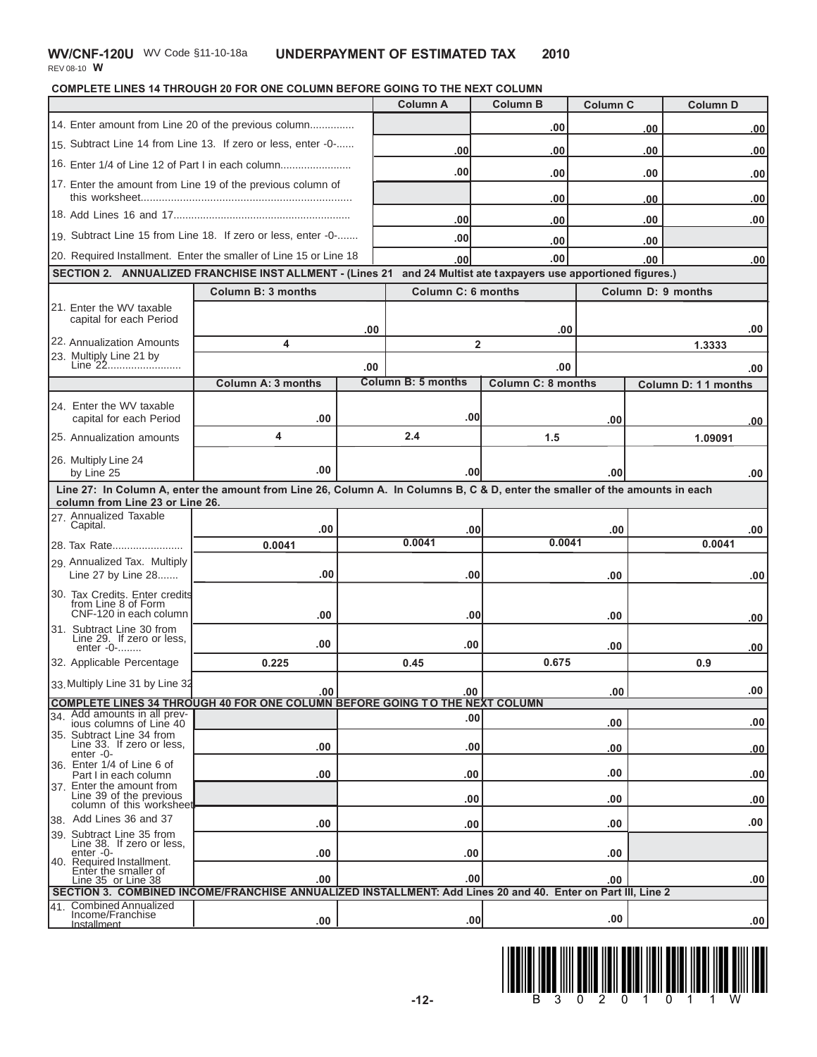**COMPLETE LINES 14 THROUGH 20 FOR ONE COLUMN BEFORE GOING TO THE NEXT COLUMN**

|                                                                                                                 |                                                                                                                              |     | <b>Column A</b>           | <b>Column B</b>           | <b>Column C</b> |     | <b>Column D</b>     |            |  |  |  |
|-----------------------------------------------------------------------------------------------------------------|------------------------------------------------------------------------------------------------------------------------------|-----|---------------------------|---------------------------|-----------------|-----|---------------------|------------|--|--|--|
|                                                                                                                 | 14. Enter amount from Line 20 of the previous column                                                                         |     |                           | .00                       |                 | 00  |                     | <u>.00</u> |  |  |  |
| 15. Subtract Line 14 from Line 13. If zero or less, enter -0-                                                   |                                                                                                                              |     | .00                       | .00                       | .00             |     |                     | .00        |  |  |  |
| 16. Enter 1/4 of Line 12 of Part I in each column                                                               |                                                                                                                              |     | .00                       | .00                       |                 | .00 |                     | .00        |  |  |  |
|                                                                                                                 | 17. Enter the amount from Line 19 of the previous column of                                                                  |     |                           |                           |                 |     |                     |            |  |  |  |
|                                                                                                                 |                                                                                                                              |     |                           | .00                       | .00<br>.00      |     |                     | .00        |  |  |  |
| 19. Subtract Line 15 from Line 18. If zero or less, enter -0-                                                   |                                                                                                                              |     | .00<br>.00                | .00                       | .00             |     |                     | .00        |  |  |  |
| 20. Required Installment. Enter the smaller of Line 15 or Line 18                                               |                                                                                                                              |     | .00                       | .00<br>.00                | .00             |     |                     | .00        |  |  |  |
| SECTION 2. ANNUALIZED FRANCHISE INST ALLMENT - (Lines 21 and 24 Multist ate taxpayers use apportioned figures.) |                                                                                                                              |     |                           |                           |                 |     |                     |            |  |  |  |
|                                                                                                                 | <b>Column B: 3 months</b>                                                                                                    |     | <b>Column C: 6 months</b> |                           |                 |     | Column D: 9 months  |            |  |  |  |
| 21. Enter the WV taxable<br>capital for each Period                                                             |                                                                                                                              |     |                           |                           |                 |     |                     |            |  |  |  |
|                                                                                                                 |                                                                                                                              | .00 |                           | .00                       |                 |     |                     | .00        |  |  |  |
| 22. Annualization Amounts<br>23. Multiply Line 21 by                                                            | 4                                                                                                                            |     | $\overline{2}$            |                           | 1.3333          |     |                     |            |  |  |  |
| Line 22                                                                                                         |                                                                                                                              | .00 |                           | .00                       |                 |     |                     | .00        |  |  |  |
|                                                                                                                 | <b>Column A: 3 months</b>                                                                                                    |     | <b>Column B: 5 months</b> | <b>Column C: 8 months</b> |                 |     | Column D: 11 months |            |  |  |  |
| 24. Enter the WV taxable<br>capital for each Period                                                             | .00                                                                                                                          |     | .00                       |                           | .00             |     |                     | .00        |  |  |  |
| 25. Annualization amounts                                                                                       | 4                                                                                                                            |     | 2.4                       | 1.5                       |                 |     | 1.09091             |            |  |  |  |
| 26. Multiply Line 24                                                                                            |                                                                                                                              |     |                           |                           |                 |     |                     |            |  |  |  |
| by Line 25                                                                                                      | .00                                                                                                                          |     | .00                       |                           | .00             |     |                     | .00        |  |  |  |
| column from Line 23 or Line 26.                                                                                 | Line 27: In Column A, enter the amount from Line 26, Column A. In Columns B, C & D, enter the smaller of the amounts in each |     |                           |                           |                 |     |                     |            |  |  |  |
| 27. Annualized Taxable<br>Capital.                                                                              |                                                                                                                              |     |                           |                           |                 |     |                     |            |  |  |  |
| 28. Tax Rate                                                                                                    | .00<br>0.0041                                                                                                                |     | .00<br>0.0041             | 0.0041                    | .00             |     | 0.0041              | .00        |  |  |  |
| 29. Annualized Tax. Multiply                                                                                    |                                                                                                                              |     |                           |                           |                 |     |                     |            |  |  |  |
| Line 27 by Line 28                                                                                              | .00                                                                                                                          |     | .00                       |                           | .00             |     |                     | .00        |  |  |  |
| 30. Tax Credits. Enter credits<br>from Line 8 of Form<br>CNF-120 in each column                                 | .00                                                                                                                          |     | .00                       |                           | .00             |     |                     | .00        |  |  |  |
| 31. Subtract Line 30 from<br>Line 29. If zero or less,<br>enter -0-                                             | .00                                                                                                                          |     | .00                       |                           | .00             |     |                     | .00        |  |  |  |
| 32. Applicable Percentage                                                                                       | 0.225                                                                                                                        |     | 0.45                      | 0.675                     |                 |     | 0.9                 |            |  |  |  |
| 33. Multiply Line 31 by Line 32                                                                                 | .00                                                                                                                          |     | ا 00.                     |                           |                 |     |                     | .00        |  |  |  |
|                                                                                                                 | COMPLETE LINES 34 THROUGH 40 FOR ONE COLUMN BEFORE GOING TO THE NEXT COLUMN                                                  |     |                           |                           | .uu i           |     |                     |            |  |  |  |
| 34. Add amounts in all prev-<br>ious columns of Line 40                                                         |                                                                                                                              |     | .00                       |                           | .00             |     |                     | .00        |  |  |  |
| 35. Subtract Line 34 from<br>Line 33. If zero or less,<br>enter -0-                                             | .00                                                                                                                          |     | .00                       |                           | .00             |     |                     | 00         |  |  |  |
| 36. Enter 1/4 of Line 6 of<br>Part I in each column                                                             | .00                                                                                                                          |     | .00                       |                           | .00             |     |                     | .00        |  |  |  |
| 37. Enter the amount from                                                                                       |                                                                                                                              |     |                           |                           |                 |     |                     |            |  |  |  |
| Line 39 of the previous<br>column of this worksheet                                                             |                                                                                                                              |     | .00                       |                           | .00             |     |                     | .00        |  |  |  |
| 38. Add Lines 36 and 37<br>39. Subtract Line 35 from                                                            | .00                                                                                                                          |     | .00                       |                           | .00             |     |                     | .00        |  |  |  |
| Line 38. If zero or less,<br>enter $-0$ -                                                                       | .00                                                                                                                          |     | .00                       |                           | .00             |     |                     |            |  |  |  |
| 40. Required Installment.<br>Enter the smaller of<br>Line 35 or Line 38                                         | .00                                                                                                                          |     | .00                       |                           | .00             |     |                     | .00        |  |  |  |
|                                                                                                                 | SECTION 3. COMBINED INCOME/FRANCHISE ANNUALIZED INSTALLMENT: Add Lines 20 and 40. Enter on Part III, Line 2                  |     |                           |                           |                 |     |                     |            |  |  |  |
| <b>Combined Annualized</b><br>l41.<br>Income/Franchise<br>Installment                                           | .00                                                                                                                          |     | .00                       |                           | .00             |     |                     | .00        |  |  |  |